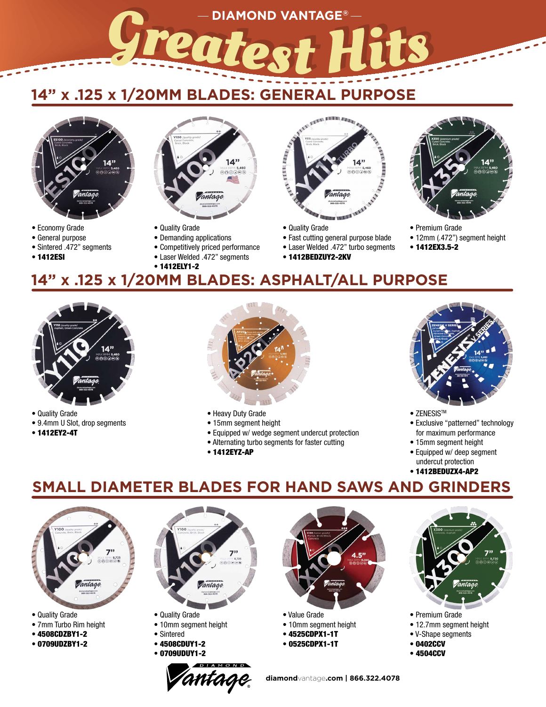## **14" x .125 x 1/20MM BLADES: GENERAL PURPOSE**



- Economy Grade
- General purpose
- Sintered .472" segments
- 1412ESI



- Quality Grade
- Demanding applications
- Competitively priced performance
- Laser Welded .472" segments
- 1412ELY1-2



• Quality Grade

**DIAMOND VANTAGE®**

- Fast cutting general purpose blade
- Laser Welded .472" turbo segments
- 1412BEDZUY2-2KV



- Premium Grade
- 12mm (.472") segment height
- 1412EX3.5-2
- 

### **14" x .125 x 1/20MM BLADES: ASPHALT/ALL PURPOSE**



- Quality Grade
- 9.4mm U Slot, drop segments
- 1412EY2-4T



- Heavy Duty Grade
- 15mm segment height
- Equipped w/ wedge segment undercut protection
- Alternating turbo segments for faster cutting
- 



- ZENESIS™
- Exclusive "patterned" technology for maximum performance
- 15mm segment height
- Equipped w/ deep segment undercut protection
- 1412BEDUZX4-AP2

### **SMALL DIAMETER BLADES FOR HAND SAWS AND GRINDERS**



- Quality Grade
- 7mm Turbo Rim height
- 4508CDZBY1-2
- 0709UDZBY1-2



- Quality Grade
- 10mm segment height
- Sintered
- 4508CDUY1-2 • 0709UDUY1-2





- 
- 4525CDPX1-1T
- 0525CDPX1-1T



- Premium Grade
- 12.7mm segment height
- V-Shape segments
- 0402CCV
- 4504CCV
- 
- 
- -
	- 1412EYZ-AP